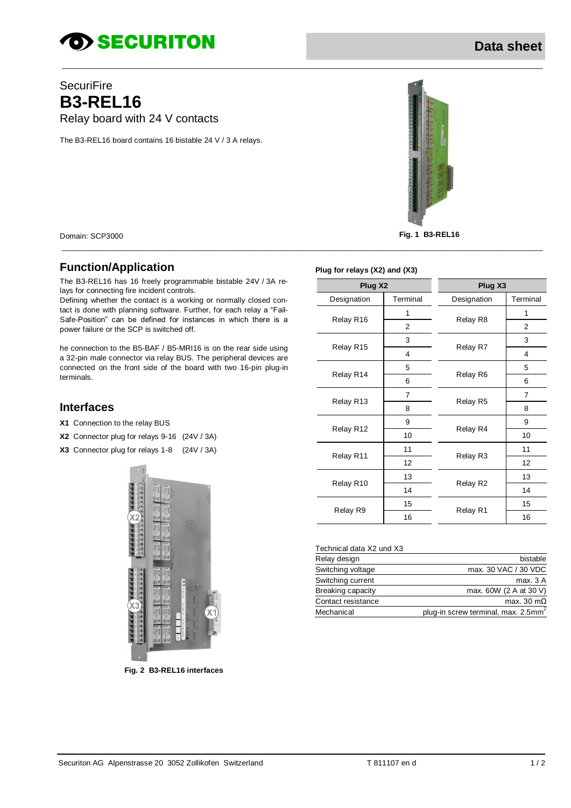# *SECURITON*

## **SecuriFire B3-REL16** Relay board with 24 V contacts

The B3-REL16 board contains 16 bistable 24 V / 3 A relays.



Domain: SCP3000 **Fig. 1 B3-REL16**

### **Function/Application**

The B3-REL16 has 16 freely programmable bistable 24V / 3A relays for connecting fire incident controls.

Defining whether the contact is a working or normally closed contact is done with planning software. Further, for each relay a "Fail-Safe-Position" can be defined for instances in which there is a power failure or the SCP is switched off.

he connection to the B5-BAF / B5-MRI16 is on the rear side using a 32-pin male connector via relay BUS. The peripheral devices are connected on the front side of the board with two 16-pin plug-in terminals.

#### **Interfaces**

- **X1** Connection to the relay BUS
- **X2** Connector plug for relays 9-16 (24V / 3A)
- **X3** Connector plug for relays 1-8 (24V / 3A)



**Fig. 2 B3-REL16 interfaces**

**Plug for relays (X2) and (X3)**

\_\_\_\_\_\_\_\_\_\_\_\_\_\_\_\_\_\_\_\_\_\_\_\_\_\_\_\_\_\_\_\_\_\_\_\_\_\_\_\_\_\_\_\_\_\_\_\_\_\_\_\_\_\_\_\_\_\_\_\_\_\_\_\_\_\_\_\_\_\_\_\_\_\_\_\_\_\_\_\_\_\_\_\_\_\_\_\_\_\_\_\_\_\_\_\_\_\_\_\_\_\_\_\_\_\_\_\_\_\_\_\_\_\_\_\_

| Plug X2     |                | Plug X3     |                |
|-------------|----------------|-------------|----------------|
| Designation | Terminal       | Designation | Terminal       |
| Relay R16   | 1              | Relay R8    | 1              |
|             | $\overline{2}$ |             | $\overline{2}$ |
| Relay R15   | 3              | Relay R7    | 3              |
|             | 4              |             | 4              |
| Relay R14   | 5              | Relay R6    | 5              |
|             | 6              |             | 6              |
| Relay R13   | 7              | Relay R5    | $\overline{7}$ |
|             | 8              |             | 8              |
| Relay R12   | 9              | Relay R4    | 9              |
|             | 10             |             | 10             |
| Relay R11   | 11             | Relay R3    | 11             |
|             | 12             |             | 12             |
| Relay R10   | 13             | Relay R2    | 13             |
|             | 14             |             | 14             |
| Relay R9    | 15             | Relay R1    | 15             |
|             | 16             |             | 16             |

#### Technical data X2 und X3

| Relay design       | bistable                                        |
|--------------------|-------------------------------------------------|
| Switching voltage  | max, 30 VAC / 30 VDC                            |
| Switching current  | max. 3 A                                        |
| Breaking capacity  | max. 60W (2 A at 30 V)                          |
| Contact resistance | max. 30 m $\Omega$                              |
| Mechanical         | plug-in screw terminal, max. 2.5mm <sup>2</sup> |